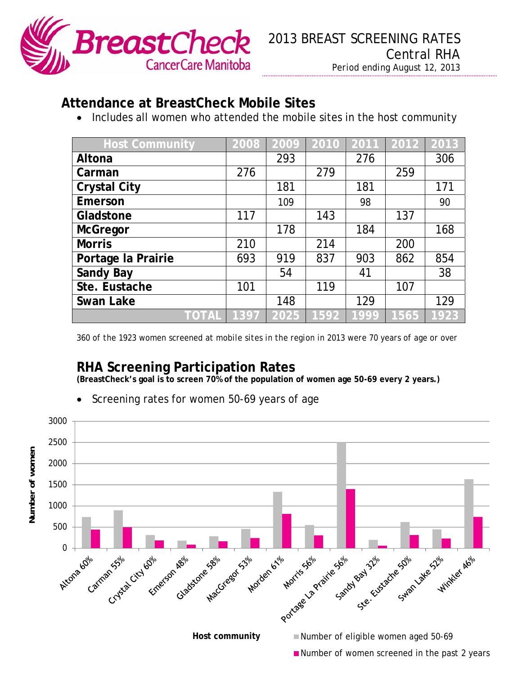

## **Attendance at BreastCheck Mobile Sites**

• Includes all women who attended the mobile sites in the host community

| <b>Host Community</b> | 2008 | 2009 | 2010 | 2011 | 2012 | 2013 |
|-----------------------|------|------|------|------|------|------|
| Altona                |      | 293  |      | 276  |      | 306  |
| Carman                | 276  |      | 279  |      | 259  |      |
| <b>Crystal City</b>   |      | 181  |      | 181  |      | 171  |
| Emerson               |      | 109  |      | 98   |      | 90   |
| Gladstone             | 117  |      | 143  |      | 137  |      |
| <b>McGregor</b>       |      | 178  |      | 184  |      | 168  |
| <b>Morris</b>         | 210  |      | 214  |      | 200  |      |
| Portage la Prairie    | 693  | 919  | 837  | 903  | 862  | 854  |
| <b>Sandy Bay</b>      |      | 54   |      | 41   |      | 38   |
| Ste. Eustache         | 101  |      | 119  |      | 107  |      |
| <b>Swan Lake</b>      |      | 148  |      | 129  |      | 129  |
| TOTAL                 | 1397 | 2025 | 1592 | 1999 | 1565 | 1923 |

*360 of the 1923 women screened at mobile sites in the region in 2013 were 70 years of age or over* 

## **RHA Screening Participation Rates**

**(BreastCheck's goal is to screen 70% of the population of women age 50-69 every 2 years.)** 

- 3000 2500 Number of women **Number of women** 2000 1500 1000 500  $\Omega$  $C$ , and  $\begin{matrix} \sigma^2 & \sigma^2 & \sigma^2 \end{matrix}$  in the contact: Brandy Pantel, PHEc – Health Educator, BreastCheck CCMB Host community **Number of eligible women aged 50-69** Number of women screened in the past 2 years
- Screening rates for women 50-69 years of age